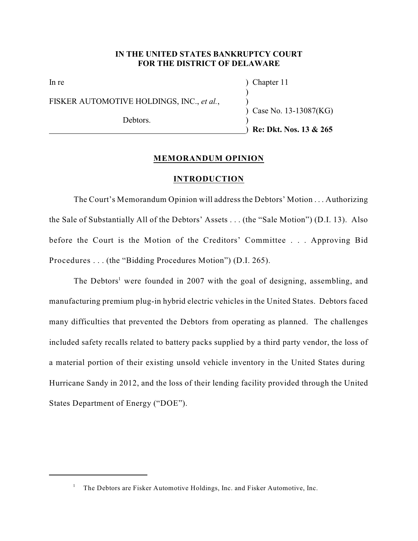## **IN THE UNITED STATES BANKRUPTCY COURT FOR THE DISTRICT OF DELAWARE**

|                                           | <b>Re: Dkt. Nos. 13 &amp; 265</b> |
|-------------------------------------------|-----------------------------------|
| Debtors.                                  |                                   |
| FISKER AUTOMOTIVE HOLDINGS, INC., et al., | ) Case No. $13-13087(KG)$         |
| In re                                     | Chapter 11                        |

## **MEMORANDUM OPINION**

### **INTRODUCTION**

The Court's Memorandum Opinion will address the Debtors' Motion . . . Authorizing the Sale of Substantially All of the Debtors' Assets . . . (the "Sale Motion") (D.I. 13). Also before the Court is the Motion of the Creditors' Committee . . . Approving Bid Procedures . . . (the "Bidding Procedures Motion") (D.I. 265).

The Debtors<sup>1</sup> were founded in 2007 with the goal of designing, assembling, and manufacturing premium plug-in hybrid electric vehicles in the United States. Debtors faced many difficulties that prevented the Debtors from operating as planned. The challenges included safety recalls related to battery packs supplied by a third party vendor, the loss of a material portion of their existing unsold vehicle inventory in the United States during Hurricane Sandy in 2012, and the loss of their lending facility provided through the United States Department of Energy ("DOE").

<sup>&</sup>lt;sup>1</sup> The Debtors are Fisker Automotive Holdings, Inc. and Fisker Automotive, Inc.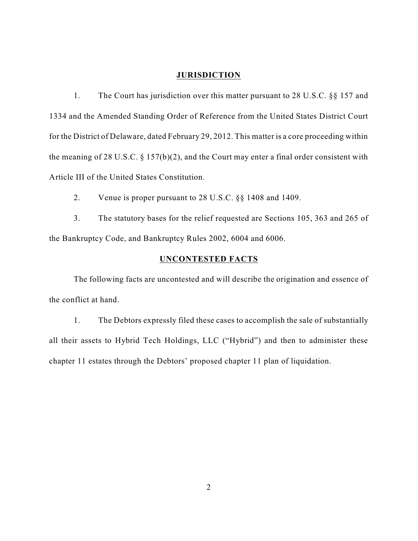### **JURISDICTION**

1. The Court has jurisdiction over this matter pursuant to 28 U.S.C. §§ 157 and 1334 and the Amended Standing Order of Reference from the United States District Court for the District of Delaware, dated February 29, 2012. This matter is a core proceeding within the meaning of 28 U.S.C. § 157(b)(2), and the Court may enter a final order consistent with Article III of the United States Constitution.

2. Venue is proper pursuant to 28 U.S.C. §§ 1408 and 1409.

3. The statutory bases for the relief requested are Sections 105, 363 and 265 of the Bankruptcy Code, and Bankruptcy Rules 2002, 6004 and 6006.

# **UNCONTESTED FACTS**

The following facts are uncontested and will describe the origination and essence of the conflict at hand.

1. The Debtors expressly filed these cases to accomplish the sale of substantially all their assets to Hybrid Tech Holdings, LLC ("Hybrid") and then to administer these chapter 11 estates through the Debtors' proposed chapter 11 plan of liquidation.

2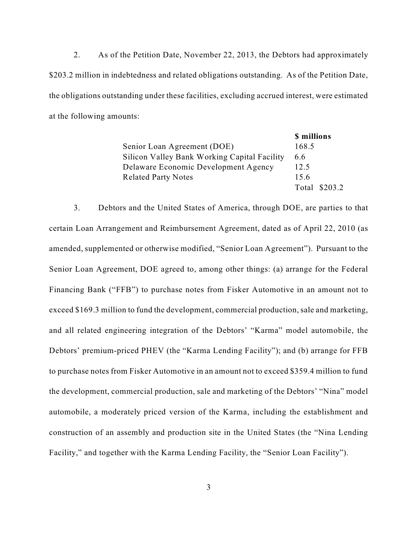2. As of the Petition Date, November 22, 2013, the Debtors had approximately \$203.2 million in indebtedness and related obligations outstanding. As of the Petition Date, the obligations outstanding under these facilities, excluding accrued interest, were estimated at the following amounts:

|                                              | \$ millions   |
|----------------------------------------------|---------------|
| Senior Loan Agreement (DOE)                  | 168.5         |
| Silicon Valley Bank Working Capital Facility | 6.6           |
| Delaware Economic Development Agency         | 12.5          |
| <b>Related Party Notes</b>                   | 15.6          |
|                                              | Total \$203.2 |

3. Debtors and the United States of America, through DOE, are parties to that certain Loan Arrangement and Reimbursement Agreement, dated as of April 22, 2010 (as amended, supplemented or otherwise modified, "Senior Loan Agreement"). Pursuant to the Senior Loan Agreement, DOE agreed to, among other things: (a) arrange for the Federal Financing Bank ("FFB") to purchase notes from Fisker Automotive in an amount not to exceed \$169.3 million to fund the development, commercial production, sale and marketing, and all related engineering integration of the Debtors' "Karma" model automobile, the Debtors' premium-priced PHEV (the "Karma Lending Facility"); and (b) arrange for FFB to purchase notes from Fisker Automotive in an amount not to exceed \$359.4 million to fund the development, commercial production, sale and marketing of the Debtors' "Nina" model automobile, a moderately priced version of the Karma, including the establishment and construction of an assembly and production site in the United States (the "Nina Lending Facility," and together with the Karma Lending Facility, the "Senior Loan Facility").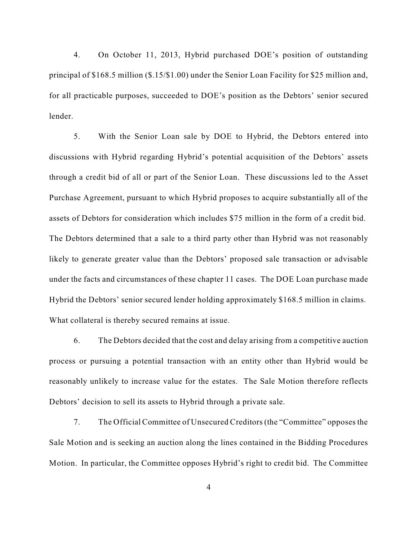4. On October 11, 2013, Hybrid purchased DOE's position of outstanding principal of \$168.5 million (\$.15/\$1.00) under the Senior Loan Facility for \$25 million and, for all practicable purposes, succeeded to DOE's position as the Debtors' senior secured lender.

5. With the Senior Loan sale by DOE to Hybrid, the Debtors entered into discussions with Hybrid regarding Hybrid's potential acquisition of the Debtors' assets through a credit bid of all or part of the Senior Loan. These discussions led to the Asset Purchase Agreement, pursuant to which Hybrid proposes to acquire substantially all of the assets of Debtors for consideration which includes \$75 million in the form of a credit bid. The Debtors determined that a sale to a third party other than Hybrid was not reasonably likely to generate greater value than the Debtors' proposed sale transaction or advisable under the facts and circumstances of these chapter 11 cases. The DOE Loan purchase made Hybrid the Debtors' senior secured lender holding approximately \$168.5 million in claims. What collateral is thereby secured remains at issue.

6. The Debtors decided that the cost and delay arising from a competitive auction process or pursuing a potential transaction with an entity other than Hybrid would be reasonably unlikely to increase value for the estates. The Sale Motion therefore reflects Debtors' decision to sell its assets to Hybrid through a private sale.

7. The Official Committee of Unsecured Creditors(the "Committee" opposesthe Sale Motion and is seeking an auction along the lines contained in the Bidding Procedures Motion. In particular, the Committee opposes Hybrid's right to credit bid. The Committee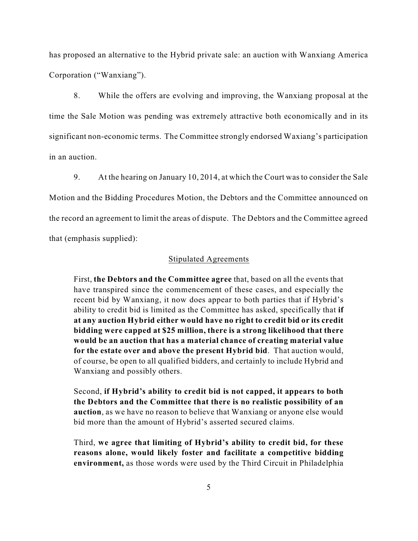has proposed an alternative to the Hybrid private sale: an auction with Wanxiang America Corporation ("Wanxiang").

8. While the offers are evolving and improving, the Wanxiang proposal at the time the Sale Motion was pending was extremely attractive both economically and in its significant non-economic terms. The Committee strongly endorsed Waxiang's participation in an auction.

9. At the hearing on January 10, 2014, at which the Court was to consider the Sale Motion and the Bidding Procedures Motion, the Debtors and the Committee announced on the record an agreement to limit the areas of dispute. The Debtors and the Committee agreed that (emphasis supplied):

## Stipulated Agreements

First, **the Debtors and the Committee agree** that, based on all the events that have transpired since the commencement of these cases, and especially the recent bid by Wanxiang, it now does appear to both parties that if Hybrid's ability to credit bid is limited as the Committee has asked, specifically that **if at any auction Hybrid either would have no right to credit bid or its credit bidding were capped at \$25 million, there is a strong likelihood that there would be an auction that has a material chance of creating material value for the estate over and above the present Hybrid bid**. That auction would, of course, be open to all qualified bidders, and certainly to include Hybrid and Wanxiang and possibly others.

Second, **if Hybrid's ability to credit bid is not capped, it appears to both the Debtors and the Committee that there is no realistic possibility of an auction**, as we have no reason to believe that Wanxiang or anyone else would bid more than the amount of Hybrid's asserted secured claims.

Third, **we agree that limiting of Hybrid's ability to credit bid, for these reasons alone, would likely foster and facilitate a competitive bidding environment,** as those words were used by the Third Circuit in Philadelphia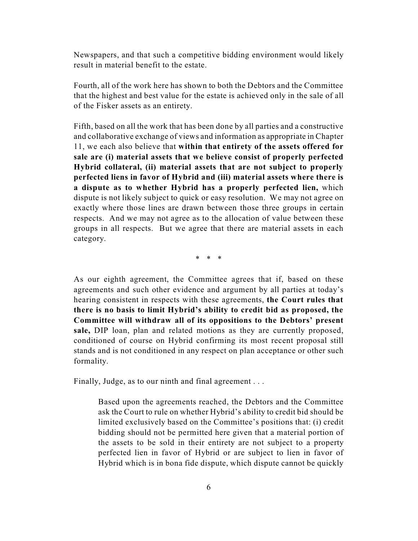Newspapers, and that such a competitive bidding environment would likely result in material benefit to the estate.

Fourth, all of the work here has shown to both the Debtors and the Committee that the highest and best value for the estate is achieved only in the sale of all of the Fisker assets as an entirety.

Fifth, based on all the work that has been done by all parties and a constructive and collaborative exchange of views and information as appropriate in Chapter 11, we each also believe that **within that entirety of the assets offered for sale are (i) material assets that we believe consist of properly perfected Hybrid collateral, (ii) material assets that are not subject to properly perfected liens in favor of Hybrid and (iii) material assets where there is a dispute as to whether Hybrid has a properly perfected lien,** which dispute is not likely subject to quick or easy resolution. We may not agree on exactly where those lines are drawn between those three groups in certain respects. And we may not agree as to the allocation of value between these groups in all respects. But we agree that there are material assets in each category.

\* \* \*

As our eighth agreement, the Committee agrees that if, based on these agreements and such other evidence and argument by all parties at today's hearing consistent in respects with these agreements, **the Court rules that there is no basis to limit Hybrid's ability to credit bid as proposed, the Committee will withdraw all of its oppositions to the Debtors' present sale,** DIP loan, plan and related motions as they are currently proposed, conditioned of course on Hybrid confirming its most recent proposal still stands and is not conditioned in any respect on plan acceptance or other such formality.

Finally, Judge, as to our ninth and final agreement . . .

Based upon the agreements reached, the Debtors and the Committee ask the Court to rule on whether Hybrid's ability to credit bid should be limited exclusively based on the Committee's positions that: (i) credit bidding should not be permitted here given that a material portion of the assets to be sold in their entirety are not subject to a property perfected lien in favor of Hybrid or are subject to lien in favor of Hybrid which is in bona fide dispute, which dispute cannot be quickly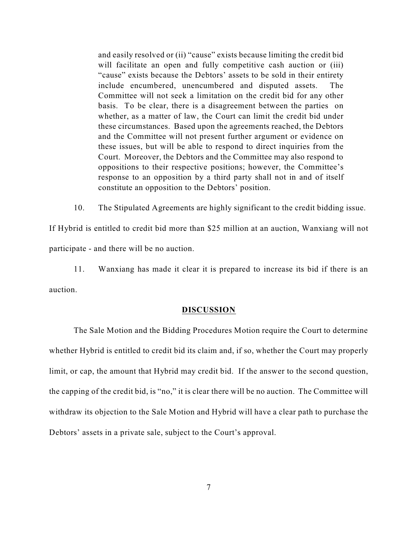and easily resolved or (ii) "cause" exists because limiting the credit bid will facilitate an open and fully competitive cash auction or (iii) "cause" exists because the Debtors' assets to be sold in their entirety include encumbered, unencumbered and disputed assets. The Committee will not seek a limitation on the credit bid for any other basis. To be clear, there is a disagreement between the parties on whether, as a matter of law, the Court can limit the credit bid under these circumstances. Based upon the agreements reached, the Debtors and the Committee will not present further argument or evidence on these issues, but will be able to respond to direct inquiries from the Court. Moreover, the Debtors and the Committee may also respond to oppositions to their respective positions; however, the Committee's response to an opposition by a third party shall not in and of itself constitute an opposition to the Debtors' position.

10. The Stipulated Agreements are highly significant to the credit bidding issue.

If Hybrid is entitled to credit bid more than \$25 million at an auction, Wanxiang will not participate - and there will be no auction.

11. Wanxiang has made it clear it is prepared to increase its bid if there is an auction.

### **DISCUSSION**

The Sale Motion and the Bidding Procedures Motion require the Court to determine whether Hybrid is entitled to credit bid its claim and, if so, whether the Court may properly limit, or cap, the amount that Hybrid may credit bid. If the answer to the second question, the capping of the credit bid, is "no," it is clear there will be no auction. The Committee will withdraw its objection to the Sale Motion and Hybrid will have a clear path to purchase the Debtors' assets in a private sale, subject to the Court's approval.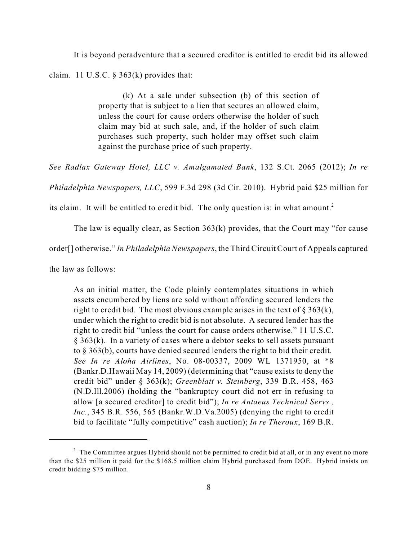It is beyond peradventure that a secured creditor is entitled to credit bid its allowed

claim. 11 U.S.C. § 363(k) provides that:

(k) At a sale under subsection (b) of this section of property that is subject to a lien that secures an allowed claim, unless the court for cause orders otherwise the holder of such claim may bid at such sale, and, if the holder of such claim purchases such property, such holder may offset such claim against the purchase price of such property.

*See Radlax Gateway Hotel, LLC v. Amalgamated Bank*, 132 S.Ct. 2065 (2012); *In re*

*Philadelphia Newspapers, LLC*, 599 F.3d 298 (3d Cir. 2010). Hybrid paid \$25 million for

its claim. It will be entitled to credit bid. The only question is: in what amount.<sup>2</sup>

The law is equally clear, as Section 363(k) provides, that the Court may "for cause

order[] otherwise." *In Philadelphia Newspapers*, the Third Circuit Court of Appeals captured

the law as follows:

As an initial matter, the Code plainly contemplates situations in which assets encumbered by liens are sold without affording secured lenders the right to credit bid. The most obvious example arises in the text of  $\S 363(k)$ , under which the right to credit bid is not absolute. A secured lender has the right to credit bid "unless the court for cause orders otherwise." 11 U.S.C. § 363(k). In a variety of cases where a debtor seeks to sell assets pursuant to § 363(b), courts have denied secured lenders the right to bid their credit. *See In re Aloha Airlines*, No. 08-00337, 2009 WL 1371950, at \*8 (Bankr.D.Hawaii May 14, 2009) (determining that "cause exists to deny the credit bid" under § 363(k); *Greenblatt v. Steinberg*, 339 B.R. 458, 463 (N.D.Ill.2006) (holding the "bankruptcy court did not err in refusing to allow [a secured creditor] to credit bid"); *In re Antaeus Technical Servs., Inc.*, 345 B.R. 556, 565 (Bankr.W.D.Va.2005) (denying the right to credit bid to facilitate "fully competitive" cash auction); *In re Theroux*, 169 B.R.

 $2$  The Committee argues Hybrid should not be permitted to credit bid at all, or in any event no more than the \$25 million it paid for the \$168.5 million claim Hybrid purchased from DOE. Hybrid insists on credit bidding \$75 million.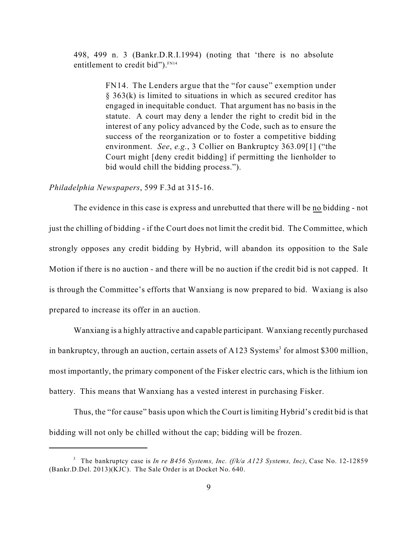498, 499 n. 3 (Bankr.D.R.I.1994) (noting that 'there is no absolute entitlement to credit bid").<sup>FN14</sup>

> FN14. The Lenders argue that the "for cause" exemption under § 363(k) is limited to situations in which as secured creditor has engaged in inequitable conduct. That argument has no basis in the statute. A court may deny a lender the right to credit bid in the interest of any policy advanced by the Code, such as to ensure the success of the reorganization or to foster a competitive bidding environment. *See*, *e.g.*, 3 Collier on Bankruptcy 363.09[1] ("the Court might [deny credit bidding] if permitting the lienholder to bid would chill the bidding process.").

## *Philadelphia Newspapers*, 599 F.3d at 315-16.

The evidence in this case is express and unrebutted that there will be no bidding - not just the chilling of bidding - if the Court does not limit the credit bid. The Committee, which strongly opposes any credit bidding by Hybrid, will abandon its opposition to the Sale Motion if there is no auction - and there will be no auction if the credit bid is not capped. It is through the Committee's efforts that Wanxiang is now prepared to bid. Waxiang is also prepared to increase its offer in an auction.

Wanxiang is a highly attractive and capable participant. Wanxiang recently purchased in bankruptcy, through an auction, certain assets of A123 Systems<sup>3</sup> for almost \$300 million, most importantly, the primary component of the Fisker electric cars, which is the lithium ion battery. This means that Wanxiang has a vested interest in purchasing Fisker.

Thus, the "for cause" basis upon which the Court is limiting Hybrid's credit bid is that bidding will not only be chilled without the cap; bidding will be frozen.

The bankruptcy case is *In re B456 Systems, Inc. (f/k/a A123 Systems, Inc)*, Case No. 12-12859 3 (Bankr.D.Del. 2013)(KJC). The Sale Order is at Docket No. 640.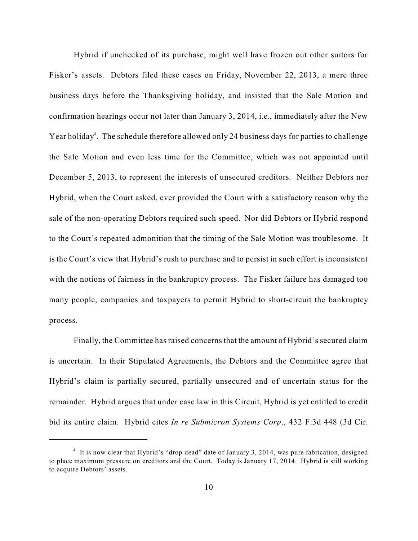Hybrid if unchecked of its purchase, might well have frozen out other suitors for Fisker's assets. Debtors filed these cases on Friday, November 22, 2013, a mere three business days before the Thanksgiving holiday, and insisted that the Sale Motion and confirmation hearings occur not later than January 3, 2014, i.e., immediately after the New Year holiday<sup>4</sup>. The schedule therefore allowed only 24 business days for parties to challenge the Sale Motion and even less time for the Committee, which was not appointed until December 5, 2013, to represent the interests of unsecured creditors. Neither Debtors nor Hybrid, when the Court asked, ever provided the Court with a satisfactory reason why the sale of the non-operating Debtors required such speed. Nor did Debtors or Hybrid respond to the Court's repeated admonition that the timing of the Sale Motion was troublesome. It is the Court's view that Hybrid's rush to purchase and to persist in such effort is inconsistent with the notions of fairness in the bankruptcy process. The Fisker failure has damaged too many people, companies and taxpayers to permit Hybrid to short-circuit the bankruptcy process.

Finally, the Committee has raised concerns that the amount of Hybrid's secured claim is uncertain. In their Stipulated Agreements, the Debtors and the Committee agree that Hybrid's claim is partially secured, partially unsecured and of uncertain status for the remainder. Hybrid argues that under case law in this Circuit, Hybrid is yet entitled to credit bid its entire claim. Hybrid cites *In re Submicron Systems Corp*., 432 F.3d 448 (3d Cir.

<sup>&</sup>lt;sup>4</sup> It is now clear that Hybrid's "drop dead" date of January 3, 2014, was pure fabrication, designed to place maximum pressure on creditors and the Court. Today is January 17, 2014. Hybrid is still working to acquire Debtors' assets.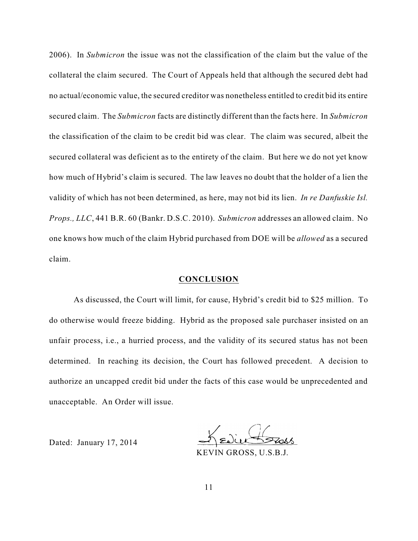2006). In *Submicron* the issue was not the classification of the claim but the value of the collateral the claim secured. The Court of Appeals held that although the secured debt had no actual/economic value, the secured creditor was nonetheless entitled to credit bid its entire secured claim. The *Submicron* facts are distinctly different than the facts here. In *Submicron* the classification of the claim to be credit bid was clear. The claim was secured, albeit the secured collateral was deficient as to the entirety of the claim. But here we do not yet know how much of Hybrid's claim is secured. The law leaves no doubt that the holder of a lien the validity of which has not been determined, as here, may not bid its lien. *In re Danfuskie Isl. Props., LLC*, 441 B.R. 60 (Bankr. D.S.C. 2010). *Submicron* addresses an allowed claim. No one knows how much of the claim Hybrid purchased from DOE will be *allowed* as a secured claim.

#### **CONCLUSION**

As discussed, the Court will limit, for cause, Hybrid's credit bid to \$25 million. To do otherwise would freeze bidding. Hybrid as the proposed sale purchaser insisted on an unfair process, i.e., a hurried process, and the validity of its secured status has not been determined. In reaching its decision, the Court has followed precedent. A decision to authorize an uncapped credit bid under the facts of this case would be unprecedented and unacceptable. An Order will issue.

Dated: January 17, 2014

KEVIN GROSS, U.S.B.J.